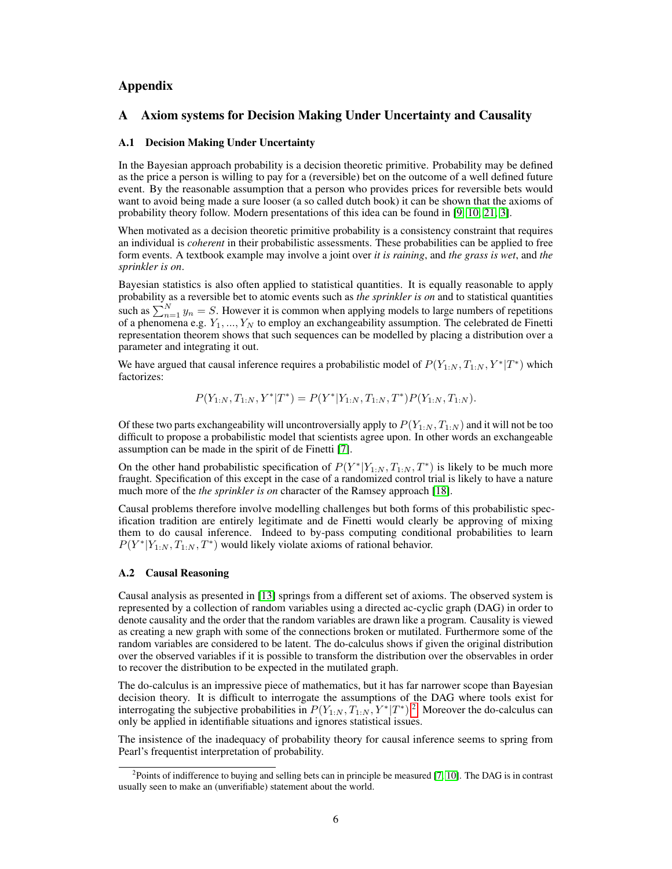# Appendix

## A Axiom systems for Decision Making Under Uncertainty and Causality

### A.1 Decision Making Under Uncertainty

In the Bayesian approach probability is a decision theoretic primitive. Probability may be defined as the price a person is willing to pay for a (reversible) bet on the outcome of a well defined future event. By the reasonable assumption that a person who provides prices for reversible bets would want to avoid being made a sure looser (a so called dutch book) it can be shown that the axioms of probability theory follow. Modern presentations of this idea can be found in [\[9,](#page-4-0) [10,](#page-4-1) [21,](#page-5-0) [3\]](#page-4-2).

When motivated as a decision theoretic primitive probability is a consistency constraint that requires an individual is *coherent* in their probabilistic assessments. These probabilities can be applied to free form events. A textbook example may involve a joint over *it is raining*, and *the grass is wet*, and *the sprinkler is on*.

Bayesian statistics is also often applied to statistical quantities. It is equally reasonable to apply probability as a reversible bet to atomic events such as *the sprinkler is on* and to statistical quantities such as  $\sum_{n=1}^{N} y_n = S$ . However it is common when applying models to large numbers of repetitions of a phenomena e.g.  $Y_1, ..., Y_N$  to employ an exchangeability assumption. The celebrated de Finetti representation theorem shows that such sequences can be modelled by placing a distribution over a parameter and integrating it out.

We have argued that causal inference requires a probabilistic model of  $P(Y_{1:N}, T_{1:N}, Y^* | T^*)$  which factorizes:

 $P(Y_{1:N}, T_{1:N}, Y^*|T^*) = P(Y^*|Y_{1:N}, T_{1:N}, T^*)P(Y_{1:N}, T_{1:N}).$ 

Of these two parts exchangeability will uncontroversially apply to  $P(Y_{1:N}, T_{1:N})$  and it will not be too difficult to propose a probabilistic model that scientists agree upon. In other words an exchangeable assumption can be made in the spirit of de Finetti [\[7\]](#page-4-3).

On the other hand probabilistic specification of  $P(Y^*|Y_{1:N}, T_{1:N}, T^*)$  is likely to be much more fraught. Specification of this except in the case of a randomized control trial is likely to have a nature much more of the *the sprinkler is on* character of the Ramsey approach [\[18\]](#page-5-1).

Causal problems therefore involve modelling challenges but both forms of this probabilistic specification tradition are entirely legitimate and de Finetti would clearly be approving of mixing them to do causal inference. Indeed to by-pass computing conditional probabilities to learn  $P(Y^*|Y_{1:N}, T_{1:N}, T^*)$  would likely violate axioms of rational behavior.

#### A.2 Causal Reasoning

Causal analysis as presented in [\[13\]](#page-4-4) springs from a different set of axioms. The observed system is represented by a collection of random variables using a directed ac-cyclic graph (DAG) in order to denote causality and the order that the random variables are drawn like a program. Causality is viewed as creating a new graph with some of the connections broken or mutilated. Furthermore some of the random variables are considered to be latent. The do-calculus shows if given the original distribution over the observed variables if it is possible to transform the distribution over the observables in order to recover the distribution to be expected in the mutilated graph.

The do-calculus is an impressive piece of mathematics, but it has far narrower scope than Bayesian decision theory. It is difficult to interrogate the assumptions of the DAG where tools exist for interrogating the subjective probabilities in  $P(Y_{1:N}, T_{1:N}, Y^* | T^*)$ <sup>[2](#page-0-0)</sup>. Moreover the do-calculus can only be applied in identifiable situations and ignores statistical issues.

The insistence of the inadequacy of probability theory for causal inference seems to spring from Pearl's frequentist interpretation of probability.

<span id="page-0-0"></span><sup>&</sup>lt;sup>2</sup> Points of indifference to buying and selling bets can in principle be measured [\[7,](#page-4-3) [10\]](#page-4-1). The DAG is in contrast usually seen to make an (unverifiable) statement about the world.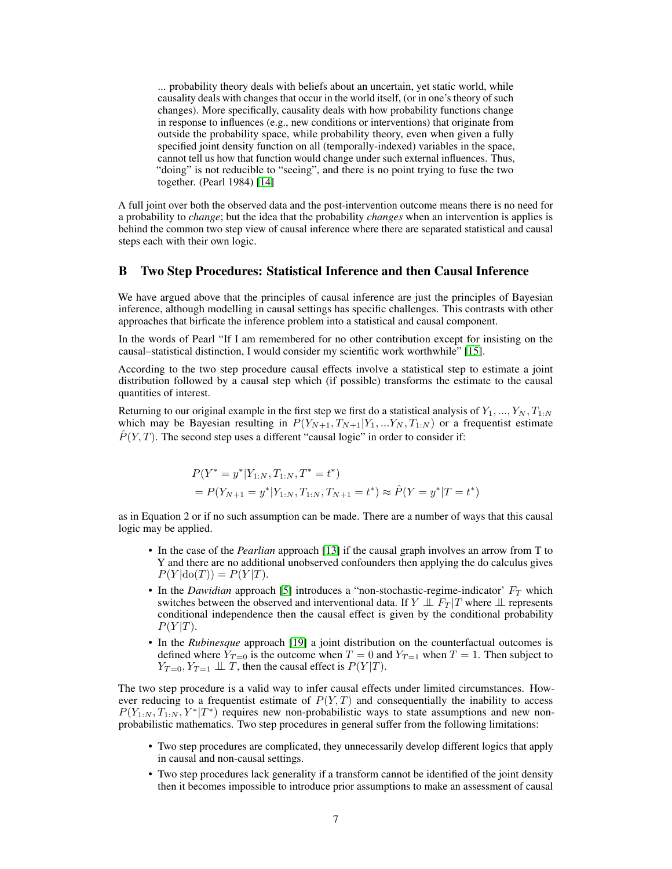... probability theory deals with beliefs about an uncertain, yet static world, while causality deals with changes that occur in the world itself, (or in one's theory of such changes). More specifically, causality deals with how probability functions change in response to influences (e.g., new conditions or interventions) that originate from outside the probability space, while probability theory, even when given a fully specified joint density function on all (temporally-indexed) variables in the space, cannot tell us how that function would change under such external influences. Thus, "doing" is not reducible to "seeing", and there is no point trying to fuse the two together. (Pearl 1984) [\[14\]](#page-4-5)

A full joint over both the observed data and the post-intervention outcome means there is no need for a probability to *change*; but the idea that the probability *changes* when an intervention is applies is behind the common two step view of causal inference where there are separated statistical and causal steps each with their own logic.

## B Two Step Procedures: Statistical Inference and then Causal Inference

We have argued above that the principles of causal inference are just the principles of Bayesian inference, although modelling in causal settings has specific challenges. This contrasts with other approaches that birficate the inference problem into a statistical and causal component.

In the words of Pearl "If I am remembered for no other contribution except for insisting on the causal–statistical distinction, I would consider my scientific work worthwhile" [\[15\]](#page-4-6).

According to the two step procedure causal effects involve a statistical step to estimate a joint distribution followed by a causal step which (if possible) transforms the estimate to the causal quantities of interest.

Returning to our original example in the first step we first do a statistical analysis of  $Y_1, ..., Y_N, T_{1:N}$ which may be Bayesian resulting in  $P(Y_{N+1}, T_{N+1}|Y_1, \ldots, Y_N, T_{1:N})$  or a frequentist estimate  $\hat{P}(Y,T)$ . The second step uses a different "causal logic" in order to consider if:

$$
P(Y^* = y^* | Y_{1:N}, T_{1:N}, T^* = t^*)
$$
  
=  $P(Y_{N+1} = y^* | Y_{1:N}, T_{1:N}, T_{N+1} = t^*) \approx \hat{P}(Y = y^* | T = t^*)$ 

as in Equation 2 or if no such assumption can be made. There are a number of ways that this causal logic may be applied.

- In the case of the *Pearlian* approach [\[13\]](#page-4-4) if the causal graph involves an arrow from T to Y and there are no additional unobserved confounders then applying the do calculus gives  $P(Y | \text{do}(T)) = P(Y|T).$
- In the *Dawidian* approach [\[5\]](#page-4-7) introduces a "non-stochastic-regime-indicator'  $F_T$  which switches between the observed and interventional data. If  $Y \perp \!\!\! \perp F_T | T$  where  $\perp \!\!\! \perp$  represents conditional independence then the causal effect is given by the conditional probability  $P(Y|T)$ .
- In the *Rubinesque* approach [\[19\]](#page-5-2) a joint distribution on the counterfactual outcomes is defined where  $Y_{T=0}$  is the outcome when  $T=0$  and  $Y_{T=1}$  when  $T=1$ . Then subject to  $Y_{T=0}, Y_{T=1} \perp \!\!\! \perp T$ , then the causal effect is  $P(Y|T)$ .

The two step procedure is a valid way to infer causal effects under limited circumstances. However reducing to a frequentist estimate of  $P(Y, T)$  and consequentially the inability to access  $P(Y_{1:N}, T_{1:N}, Y^*|T^*)$  requires new non-probabilistic ways to state assumptions and new nonprobabilistic mathematics. Two step procedures in general suffer from the following limitations:

- Two step procedures are complicated, they unnecessarily develop different logics that apply in causal and non-causal settings.
- Two step procedures lack generality if a transform cannot be identified of the joint density then it becomes impossible to introduce prior assumptions to make an assessment of causal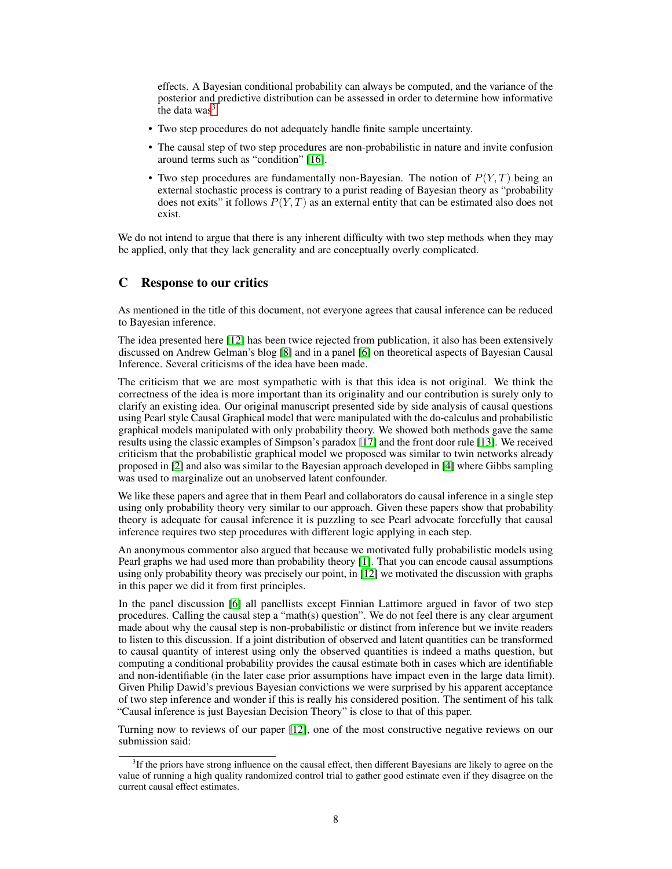effects. A Bayesian conditional probability can always be computed, and the variance of the posterior and predictive distribution can be assessed in order to determine how informative the data was<sup>[3](#page-2-0)</sup>.

- Two step procedures do not adequately handle finite sample uncertainty.
- The causal step of two step procedures are non-probabilistic in nature and invite confusion around terms such as "condition" [\[16\]](#page-4-8).
- Two step procedures are fundamentally non-Bayesian. The notion of  $P(Y, T)$  being an external stochastic process is contrary to a purist reading of Bayesian theory as "probability does not exits" it follows  $P(Y, T)$  as an external entity that can be estimated also does not exist.

We do not intend to argue that there is any inherent difficulty with two step methods when they may be applied, only that they lack generality and are conceptually overly complicated.

## C Response to our critics

As mentioned in the title of this document, not everyone agrees that causal inference can be reduced to Bayesian inference.

The idea presented here [\[12\]](#page-4-9) has been twice rejected from publication, it also has been extensively discussed on Andrew Gelman's blog [\[8\]](#page-4-10) and in a panel [\[6\]](#page-4-11) on theoretical aspects of Bayesian Causal Inference. Several criticisms of the idea have been made.

The criticism that we are most sympathetic with is that this idea is not original. We think the correctness of the idea is more important than its originality and our contribution is surely only to clarify an existing idea. Our original manuscript presented side by side analysis of causal questions using Pearl style Causal Graphical model that were manipulated with the do-calculus and probabilistic graphical models manipulated with only probability theory. We showed both methods gave the same results using the classic examples of Simpson's paradox [\[17\]](#page-4-12) and the front door rule [\[13\]](#page-4-4). We received criticism that the probabilistic graphical model we proposed was similar to twin networks already proposed in [\[2\]](#page-4-13) and also was similar to the Bayesian approach developed in [\[4\]](#page-4-14) where Gibbs sampling was used to marginalize out an unobserved latent confounder.

We like these papers and agree that in them Pearl and collaborators do causal inference in a single step using only probability theory very similar to our approach. Given these papers show that probability theory is adequate for causal inference it is puzzling to see Pearl advocate forcefully that causal inference requires two step procedures with different logic applying in each step.

An anonymous commentor also argued that because we motivated fully probabilistic models using Pearl graphs we had used more than probability theory [\[1\]](#page-4-15). That you can encode causal assumptions using only probability theory was precisely our point, in [\[12\]](#page-4-9) we motivated the discussion with graphs in this paper we did it from first principles.

In the panel discussion [\[6\]](#page-4-11) all panellists except Finnian Lattimore argued in favor of two step procedures. Calling the causal step a "math(s) question". We do not feel there is any clear argument made about why the causal step is non-probabilistic or distinct from inference but we invite readers to listen to this discussion. If a joint distribution of observed and latent quantities can be transformed to causal quantity of interest using only the observed quantities is indeed a maths question, but computing a conditional probability provides the causal estimate both in cases which are identifiable and non-identifiable (in the later case prior assumptions have impact even in the large data limit). Given Philip Dawid's previous Bayesian convictions we were surprised by his apparent acceptance of two step inference and wonder if this is really his considered position. The sentiment of his talk "Causal inference is just Bayesian Decision Theory" is close to that of this paper.

Turning now to reviews of our paper [\[12\]](#page-4-9), one of the most constructive negative reviews on our submission said:

<span id="page-2-0"></span><sup>&</sup>lt;sup>3</sup>If the priors have strong influence on the causal effect, then different Bayesians are likely to agree on the value of running a high quality randomized control trial to gather good estimate even if they disagree on the current causal effect estimates.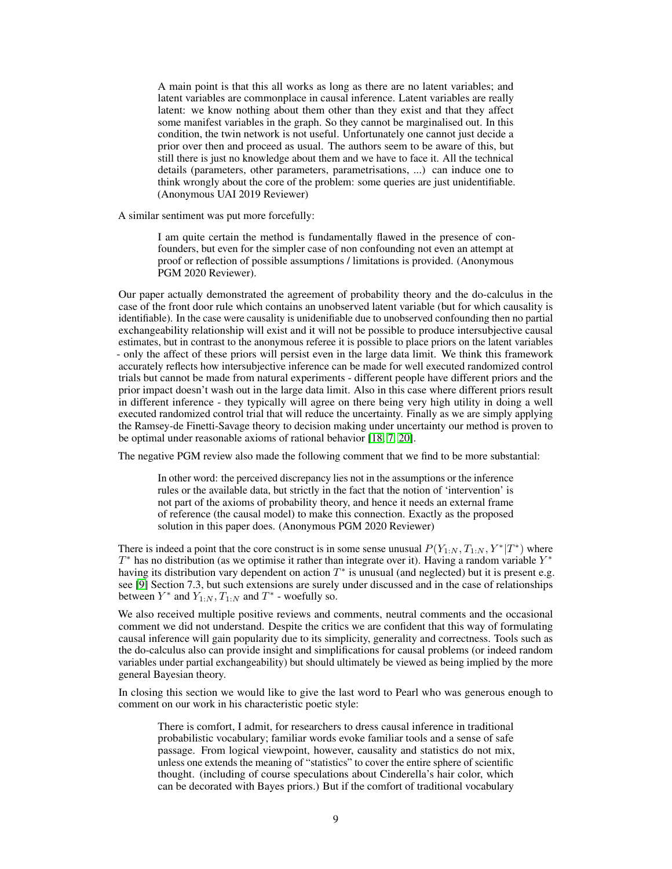A main point is that this all works as long as there are no latent variables; and latent variables are commonplace in causal inference. Latent variables are really latent: we know nothing about them other than they exist and that they affect some manifest variables in the graph. So they cannot be marginalised out. In this condition, the twin network is not useful. Unfortunately one cannot just decide a prior over then and proceed as usual. The authors seem to be aware of this, but still there is just no knowledge about them and we have to face it. All the technical details (parameters, other parameters, parametrisations, ...) can induce one to think wrongly about the core of the problem: some queries are just unidentifiable. (Anonymous UAI 2019 Reviewer)

A similar sentiment was put more forcefully:

I am quite certain the method is fundamentally flawed in the presence of confounders, but even for the simpler case of non confounding not even an attempt at proof or reflection of possible assumptions / limitations is provided. (Anonymous PGM 2020 Reviewer).

Our paper actually demonstrated the agreement of probability theory and the do-calculus in the case of the front door rule which contains an unobserved latent variable (but for which causality is identifiable). In the case were causality is unidenifiable due to unobserved confounding then no partial exchangeability relationship will exist and it will not be possible to produce intersubjective causal estimates, but in contrast to the anonymous referee it is possible to place priors on the latent variables - only the affect of these priors will persist even in the large data limit. We think this framework accurately reflects how intersubjective inference can be made for well executed randomized control trials but cannot be made from natural experiments - different people have different priors and the prior impact doesn't wash out in the large data limit. Also in this case where different priors result in different inference - they typically will agree on there being very high utility in doing a well executed randomized control trial that will reduce the uncertainty. Finally as we are simply applying the Ramsey-de Finetti-Savage theory to decision making under uncertainty our method is proven to be optimal under reasonable axioms of rational behavior [\[18,](#page-5-1) [7,](#page-4-3) [20\]](#page-5-3).

The negative PGM review also made the following comment that we find to be more substantial:

In other word: the perceived discrepancy lies not in the assumptions or the inference rules or the available data, but strictly in the fact that the notion of 'intervention' is not part of the axioms of probability theory, and hence it needs an external frame of reference (the causal model) to make this connection. Exactly as the proposed solution in this paper does. (Anonymous PGM 2020 Reviewer)

There is indeed a point that the core construct is in some sense unusual  $P(Y_{1:N}, T_{1:N}, Y^* | T^*)$  where  $T^*$  has no distribution (as we optimise it rather than integrate over it). Having a random variable  $Y^*$ having its distribution vary dependent on action  $T^*$  is unusual (and neglected) but it is present e.g. see [\[9\]](#page-4-0) Section 7.3, but such extensions are surely under discussed and in the case of relationships between  $Y^*$  and  $Y_{1:N}$ ,  $T_{1:N}$  and  $T^*$  - woefully so.

We also received multiple positive reviews and comments, neutral comments and the occasional comment we did not understand. Despite the critics we are confident that this way of formulating causal inference will gain popularity due to its simplicity, generality and correctness. Tools such as the do-calculus also can provide insight and simplifications for causal problems (or indeed random variables under partial exchangeability) but should ultimately be viewed as being implied by the more general Bayesian theory.

In closing this section we would like to give the last word to Pearl who was generous enough to comment on our work in his characteristic poetic style:

There is comfort, I admit, for researchers to dress causal inference in traditional probabilistic vocabulary; familiar words evoke familiar tools and a sense of safe passage. From logical viewpoint, however, causality and statistics do not mix, unless one extends the meaning of "statistics" to cover the entire sphere of scientific thought. (including of course speculations about Cinderella's hair color, which can be decorated with Bayes priors.) But if the comfort of traditional vocabulary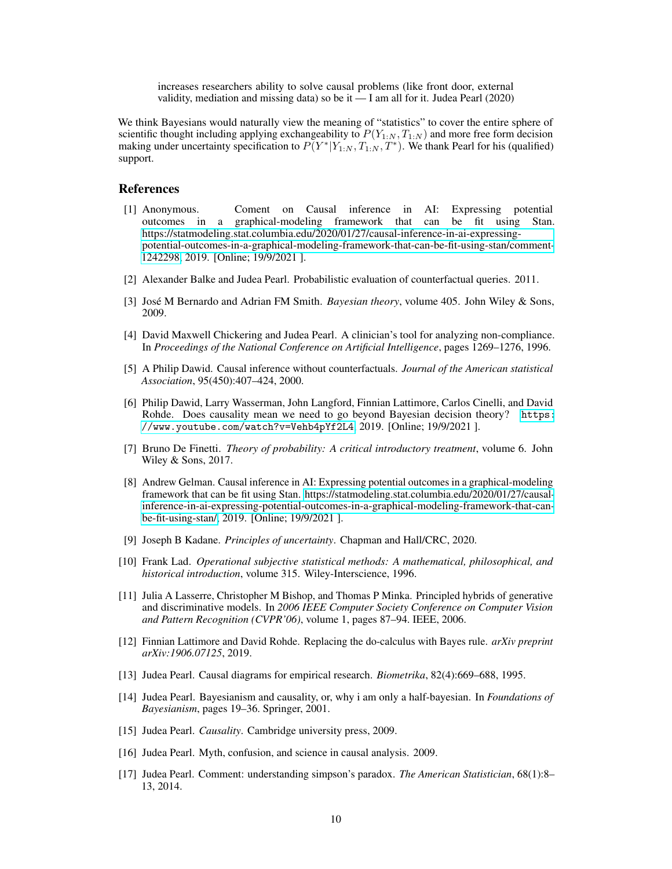increases researchers ability to solve causal problems (like front door, external validity, mediation and missing data) so be it — I am all for it. Judea Pearl (2020)

We think Bayesians would naturally view the meaning of "statistics" to cover the entire sphere of scientific thought including applying exchangeability to  $P(Y_{1:N}, T_{1:N})$  and more free form decision making under uncertainty specification to  $P(Y^*|Y_{1:N}, T_{1:N}, T^*)$ . We thank Pearl for his (qualified) support.

### References

- <span id="page-4-15"></span>[1] Anonymous. Coment on Causal inference in AI: Expressing potential outcomes in a graphical-modeling framework that can be fit using Stan. [https://statmodeling.stat.columbia.edu/2020/01/27/causal-inference-in-ai-expressing](https://statmodeling.stat.columbia.edu/2020/01/27/causal-inference-in-ai-expressing-potential-outcomes-in-a-graphical-modeling-framework-that-can-be-fit-using-stan/#comment-1242298)[potential-outcomes-in-a-graphical-modeling-framework-that-can-be-fit-using-stan/comment-](https://statmodeling.stat.columbia.edu/2020/01/27/causal-inference-in-ai-expressing-potential-outcomes-in-a-graphical-modeling-framework-that-can-be-fit-using-stan/#comment-1242298)[1242298,](https://statmodeling.stat.columbia.edu/2020/01/27/causal-inference-in-ai-expressing-potential-outcomes-in-a-graphical-modeling-framework-that-can-be-fit-using-stan/#comment-1242298) 2019. [Online; 19/9/2021 ].
- <span id="page-4-13"></span>[2] Alexander Balke and Judea Pearl. Probabilistic evaluation of counterfactual queries. 2011.
- <span id="page-4-2"></span>[3] José M Bernardo and Adrian FM Smith. *Bayesian theory*, volume 405. John Wiley & Sons, 2009.
- <span id="page-4-14"></span>[4] David Maxwell Chickering and Judea Pearl. A clinician's tool for analyzing non-compliance. In *Proceedings of the National Conference on Artificial Intelligence*, pages 1269–1276, 1996.
- <span id="page-4-7"></span>[5] A Philip Dawid. Causal inference without counterfactuals. *Journal of the American statistical Association*, 95(450):407–424, 2000.
- <span id="page-4-11"></span>[6] Philip Dawid, Larry Wasserman, John Langford, Finnian Lattimore, Carlos Cinelli, and David Rohde. Does causality mean we need to go beyond Bayesian decision theory? [https:](https://www.youtube.com/watch?v=Vehb4pYf2L4) [//www.youtube.com/watch?v=Vehb4pYf2L4](https://www.youtube.com/watch?v=Vehb4pYf2L4), 2019. [Online; 19/9/2021 ].
- <span id="page-4-3"></span>[7] Bruno De Finetti. *Theory of probability: A critical introductory treatment*, volume 6. John Wiley & Sons, 2017.
- <span id="page-4-10"></span>[8] Andrew Gelman. Causal inference in AI: Expressing potential outcomes in a graphical-modeling framework that can be fit using Stan. [https://statmodeling.stat.columbia.edu/2020/01/27/causal](https://statmodeling.stat.columbia.edu/2020/01/27/causal-inference-in-ai-expressing-potential-outcomes-in-a-graphical-modeling-framework-that-can-be-fit-using-stan/)[inference-in-ai-expressing-potential-outcomes-in-a-graphical-modeling-framework-that-can](https://statmodeling.stat.columbia.edu/2020/01/27/causal-inference-in-ai-expressing-potential-outcomes-in-a-graphical-modeling-framework-that-can-be-fit-using-stan/)[be-fit-using-stan/,](https://statmodeling.stat.columbia.edu/2020/01/27/causal-inference-in-ai-expressing-potential-outcomes-in-a-graphical-modeling-framework-that-can-be-fit-using-stan/) 2019. [Online; 19/9/2021 ].
- <span id="page-4-0"></span>[9] Joseph B Kadane. *Principles of uncertainty*. Chapman and Hall/CRC, 2020.
- <span id="page-4-1"></span>[10] Frank Lad. *Operational subjective statistical methods: A mathematical, philosophical, and historical introduction*, volume 315. Wiley-Interscience, 1996.
- [11] Julia A Lasserre, Christopher M Bishop, and Thomas P Minka. Principled hybrids of generative and discriminative models. In *2006 IEEE Computer Society Conference on Computer Vision and Pattern Recognition (CVPR'06)*, volume 1, pages 87–94. IEEE, 2006.
- <span id="page-4-9"></span>[12] Finnian Lattimore and David Rohde. Replacing the do-calculus with Bayes rule. *arXiv preprint arXiv:1906.07125*, 2019.
- <span id="page-4-4"></span>[13] Judea Pearl. Causal diagrams for empirical research. *Biometrika*, 82(4):669–688, 1995.
- <span id="page-4-5"></span>[14] Judea Pearl. Bayesianism and causality, or, why i am only a half-bayesian. In *Foundations of Bayesianism*, pages 19–36. Springer, 2001.
- <span id="page-4-6"></span>[15] Judea Pearl. *Causality*. Cambridge university press, 2009.
- <span id="page-4-8"></span>[16] Judea Pearl. Myth, confusion, and science in causal analysis. 2009.
- <span id="page-4-12"></span>[17] Judea Pearl. Comment: understanding simpson's paradox. *The American Statistician*, 68(1):8– 13, 2014.